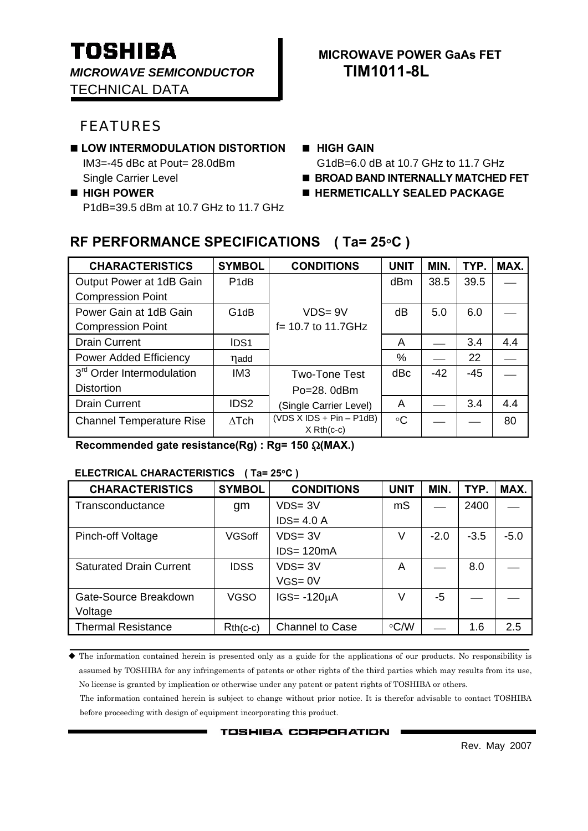*MICROWAVE SEMICONDUCTOR* **TIM1011-8L**

TECHNICAL DATA

# FEATURES

### **LOW INTERMODULATION DISTORTION <b>II** HIGH GAIN

■ HIGH POWER **■ HERMETICALLY SEALED PACKAGE** P1dB=39.5 dBm at 10.7 GHz to 11.7 GHz

# **TOSHIBA I** MICROWAVE POWER GAAS FET

IM3=-45 dBc at Pout= 28.0dBm G1dB=6.0 dB at 10.7 GHz to 11.7 GHz

- **Single Carrier Level BROAD BAND INTERNALLY MATCHED FET** 
	-

# **RF PERFORMANCE SPECIFICATIONS ( Ta= 25**°**C )**

| <b>CHARACTERISTICS</b>                | <b>SYMBOL</b>     | <b>CONDITIONS</b>                              | <b>UNIT</b> | MIN.  | TYP.  | MAX. |
|---------------------------------------|-------------------|------------------------------------------------|-------------|-------|-------|------|
| Output Power at 1dB Gain              | P <sub>1</sub> dB |                                                | dBm         | 38.5  | 39.5  |      |
| <b>Compression Point</b>              |                   |                                                |             |       |       |      |
| Power Gain at 1dB Gain                | G <sub>1</sub> dB | $VDS = 9V$                                     | dB          | 5.0   | 6.0   |      |
| <b>Compression Point</b>              |                   | $f = 10.7$ to 11.7GHz                          |             |       |       |      |
| <b>Drain Current</b>                  | IDS <sub>1</sub>  |                                                | A           |       | 3.4   | 4.4  |
| Power Added Efficiency                | nadd              |                                                | %           |       | 22    |      |
| 3 <sup>rd</sup> Order Intermodulation | IM <sub>3</sub>   | <b>Two-Tone Test</b>                           | dBc         | $-42$ | $-45$ |      |
| <b>Distortion</b>                     |                   | $Po = 28$ . $OdBm$                             |             |       |       |      |
| <b>Drain Current</b>                  | IDS <sub>2</sub>  | (Single Carrier Level)                         | A           |       | 3.4   | 4.4  |
| <b>Channel Temperature Rise</b>       | $\Delta$ Tch      | $(VDS X IDs + Pin - P1dB)$<br>$X$ Rth( $c-c$ ) | $\circ$ C   |       |       | 80   |

 **Recommended gate resistance(Rg) : Rg= 150** Ω**(MAX.)** 

#### **ELECTRICAL CHARACTERISTICS ( Ta= 25**°**C )**

| <b>CHARACTERISTICS</b>         | <b>SYMBOL</b> | <b>CONDITIONS</b> | <b>UNIT</b> | MIN.   | TYP.   | MAX.   |
|--------------------------------|---------------|-------------------|-------------|--------|--------|--------|
| Transconductance               | gm            | $VDS = 3V$        | mS          |        | 2400   |        |
|                                |               | $IDS = 4.0 A$     |             |        |        |        |
| Pinch-off Voltage              | <b>VGSoff</b> | $VDS = 3V$        | V           | $-2.0$ | $-3.5$ | $-5.0$ |
|                                |               | $IDS = 120mA$     |             |        |        |        |
| <b>Saturated Drain Current</b> | <b>IDSS</b>   | $VDS = 3V$        | Α           |        | 8.0    |        |
|                                |               | $VGS = 0V$        |             |        |        |        |
| Gate-Source Breakdown          | <b>VGSO</b>   | $IGS = -120µA$    | V           | -5     |        |        |
| Voltage                        |               |                   |             |        |        |        |
| <b>Thermal Resistance</b>      | $Rth(c-c)$    | Channel to Case   | $\circ$ C/W |        | 1.6    | 2.5    |

 The information contained herein is presented only as a guide for the applications of our products. No responsibility is assumed by TOSHIBA for any infringements of patents or other rights of the third parties which may results from its use, No license is granted by implication or otherwise under any patent or patent rights of TOSHIBA or others.

The information contained herein is subject to change without prior notice. It is therefor advisable to contact TOSHIBA before proceeding with design of equipment incorporating this product.

**TOSHIBA CORPORATION**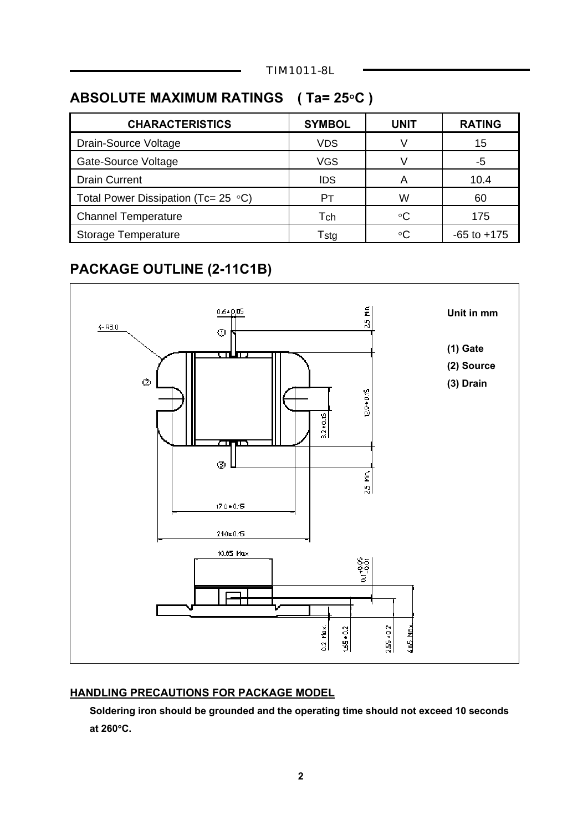# **ABSOLUTE MAXIMUM RATINGS ( Ta= 25**°**C )**

| <b>CHARACTERISTICS</b>                     | <b>SYMBOL</b> | UNIT | <b>RATING</b>   |
|--------------------------------------------|---------------|------|-----------------|
| Drain-Source Voltage                       | <b>VDS</b>    | V    | 15              |
| Gate-Source Voltage                        | <b>VGS</b>    |      | -5              |
| <b>Drain Current</b>                       | <b>IDS</b>    | А    | 10.4            |
| Total Power Dissipation (Tc= 25 $\circ$ C) | Pт            | W    | 60              |
| <b>Channel Temperature</b>                 | Tch           | ∘C   | 175             |
| <b>Storage Temperature</b>                 | Tstg          | ∘C   | $-65$ to $+175$ |
|                                            |               |      |                 |

# **PACKAGE OUTLINE (2-11C1B)**



#### **HANDLING PRECAUTIONS FOR PACKAGE MODEL**

 **Soldering iron should be grounded and the operating time should not exceed 10 seconds at 260**°**C.**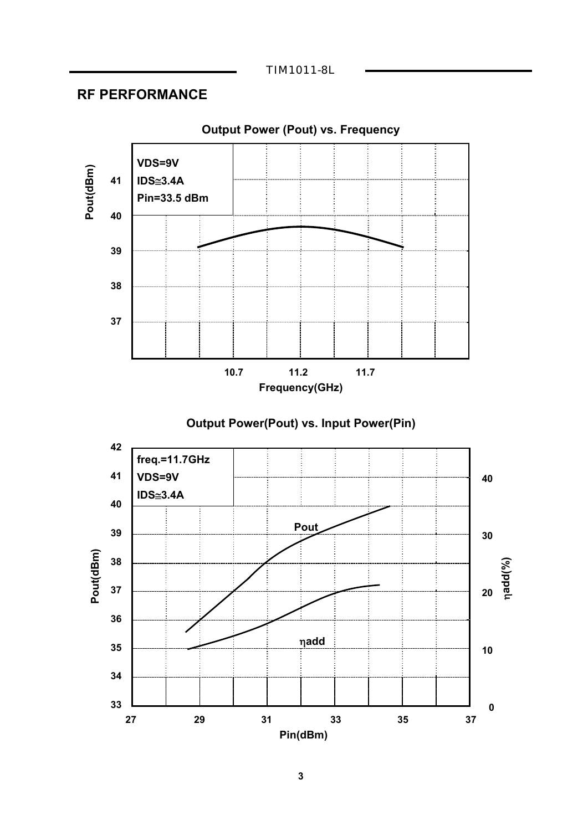TIM1011-8L

## **RF PERFORMANCE**